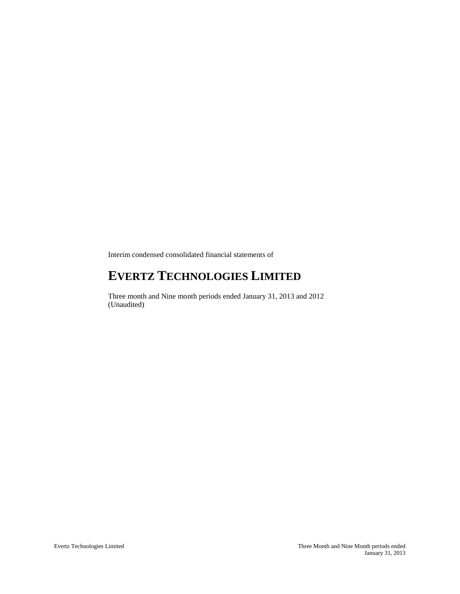Interim condensed consolidated financial statements of

# **EVERTZ TECHNOLOGIES LIMITED**

Three month and Nine month periods ended January 31, 2013 and 2012 (Unaudited)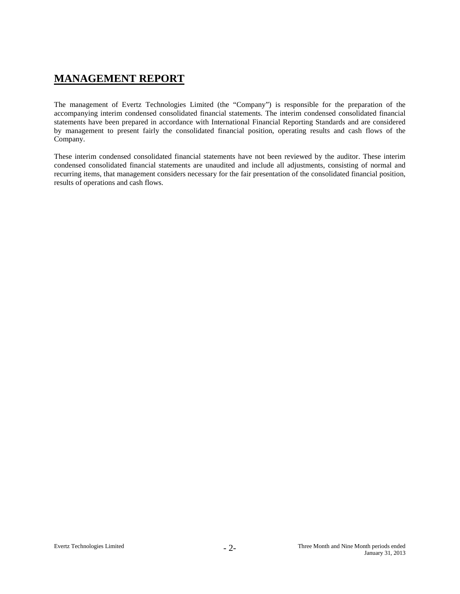# **MANAGEMENT REPORT**

The management of Evertz Technologies Limited (the "Company") is responsible for the preparation of the accompanying interim condensed consolidated financial statements. The interim condensed consolidated financial statements have been prepared in accordance with International Financial Reporting Standards and are considered by management to present fairly the consolidated financial position, operating results and cash flows of the Company.

These interim condensed consolidated financial statements have not been reviewed by the auditor. These interim condensed consolidated financial statements are unaudited and include all adjustments, consisting of normal and recurring items, that management considers necessary for the fair presentation of the consolidated financial position, results of operations and cash flows.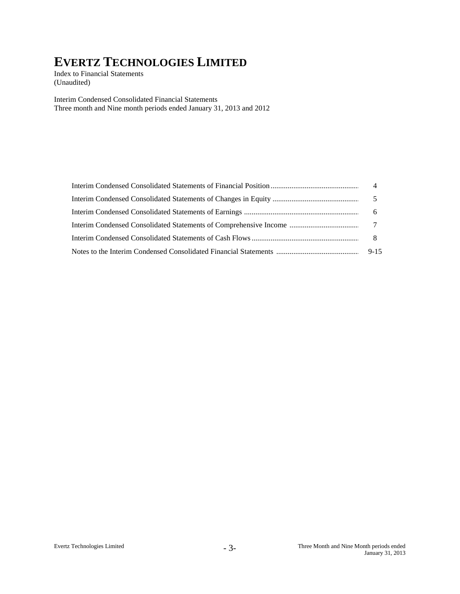Index to Financial Statements (Unaudited)

Interim Condensed Consolidated Financial Statements Three month and Nine month periods ended January 31, 2013 and 2012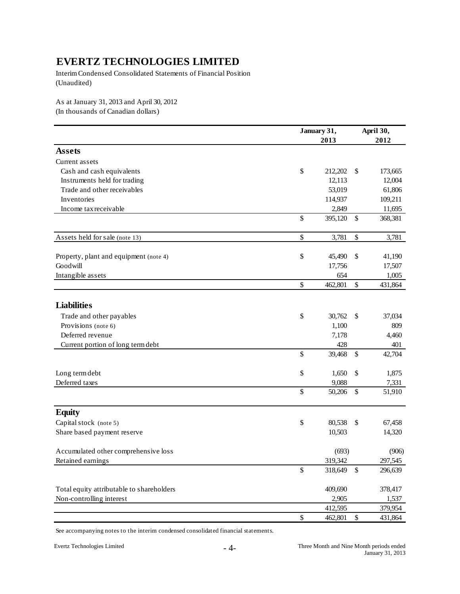Interim Condensed Consolidated Statements of Financial Position (Unaudited)

As at January 31, 2013 and April 30, 2012 (In thousands of Canadian dollars)

|                                           |      | January 31,<br>2013 | April 30,<br>2012 |         |  |  |
|-------------------------------------------|------|---------------------|-------------------|---------|--|--|
| <b>Assets</b>                             |      |                     |                   |         |  |  |
| Current assets                            |      |                     |                   |         |  |  |
| Cash and cash equivalents                 | \$   | 212,202             | \$                | 173,665 |  |  |
| Instruments held for trading              |      | 12,113              |                   | 12,004  |  |  |
| Trade and other receivables               |      | 53,019              |                   | 61,806  |  |  |
| Inventories                               |      | 114,937             |                   | 109,211 |  |  |
| Income tax receivable                     |      | 2,849               |                   | 11,695  |  |  |
|                                           | \$   | 395,120             | \$                | 368,381 |  |  |
| Assets held for sale (note 13)            | \$   | 3,781               | \$                | 3,781   |  |  |
| Property, plant and equipment (note 4)    | \$   | 45,490              | \$                | 41,190  |  |  |
| Goodwill                                  |      | 17,756              |                   | 17,507  |  |  |
| Intangible assets                         |      | 654                 |                   | 1,005   |  |  |
|                                           | \$   | 462,801             | \$                | 431,864 |  |  |
| <b>Liabilities</b>                        |      |                     |                   |         |  |  |
| Trade and other payables                  | \$   | 30,762              | \$                | 37,034  |  |  |
| Provisions (note 6)                       |      | 1,100               |                   | 809     |  |  |
| Deferred revenue                          |      | 7,178               |                   | 4,460   |  |  |
| Current portion of long term debt         |      | 428                 |                   | 401     |  |  |
|                                           | \$   | 39,468              | \$                | 42,704  |  |  |
| Long term debt                            | \$   | 1,650               | \$                | 1,875   |  |  |
| Deferred taxes                            |      | 9,088               |                   | 7,331   |  |  |
|                                           | \$   | 50,206              | \$                | 51,910  |  |  |
| <b>Equity</b>                             |      |                     |                   |         |  |  |
| Capital stock (note 5)                    | \$   | 80,538              | \$                | 67,458  |  |  |
| Share based payment reserve               |      | 10,503              |                   | 14,320  |  |  |
| Accumulated other comprehensive loss      |      | (693)               |                   | (906)   |  |  |
| Retained earnings                         |      | 319,342             |                   | 297,545 |  |  |
|                                           | $\$$ | 318,649             | \$                | 296,639 |  |  |
| Total equity attributable to shareholders |      | 409,690             |                   | 378,417 |  |  |
| Non-controlling interest                  |      | 2,905               |                   | 1,537   |  |  |
|                                           |      | 412,595             |                   | 379,954 |  |  |
|                                           | $\$$ | 462,801             | $\$$              | 431,864 |  |  |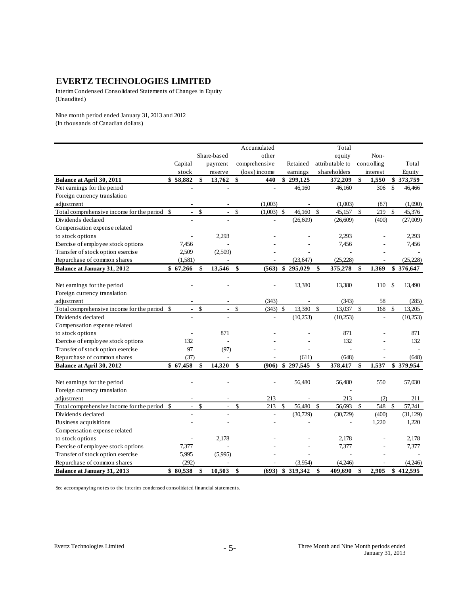Interim Condensed Consolidated Statements of Changes in Equity (Unaudited)

Nine month period ended January 31, 2013 and 2012 (In thousands of Canadian dollars)

|                                              |               |                             |                      | Accumulated        |               |           |              | Total           |               |             |               |           |
|----------------------------------------------|---------------|-----------------------------|----------------------|--------------------|---------------|-----------|--------------|-----------------|---------------|-------------|---------------|-----------|
|                                              |               |                             | Share-based          | other              |               |           |              | equity          |               | Non-        |               |           |
|                                              | Capital       |                             | payment              | comprehensive      |               | Retained  |              | attributable to |               | controlling |               | Total     |
|                                              | stock         |                             | reserve              | (loss) income      |               | earnings  |              | shareholders    |               | interest    |               | Equity    |
| Balance at April 30, 2011                    | \$58,882      |                             | \$<br>13,762         | \$<br>440          |               | \$299,125 |              | 372,209         | \$            | 1,550       |               | \$373,759 |
| Net earnings for the period                  |               |                             |                      | ÷.                 |               | 46,160    |              | 46,160          |               | 306         | <sup>\$</sup> | 46,466    |
| Foreign currency translation                 |               |                             |                      |                    |               |           |              |                 |               |             |               |           |
| adjustment                                   |               |                             |                      | (1,003)            |               |           |              | (1,003)         |               | (87)        |               | (1,090)   |
| Total comprehensive income for the period    | $\mathcal{S}$ | $\mathcal{L}_{\mathcal{A}}$ | \$<br>$\mathbf{r}$   | \$<br>$(1,003)$ \$ |               | 46,160    | \$           | 45,157          | $\mathcal{S}$ | 219         | $\sqrt{3}$    | 45,376    |
| Dividends declared                           |               |                             |                      |                    |               | (26, 609) |              | (26,609)        |               | (400)       |               | (27,009)  |
| Compensation expense related                 |               |                             |                      |                    |               |           |              |                 |               |             |               |           |
| to stock options                             |               |                             | 2,293                |                    |               |           |              | 2,293           |               |             |               | 2,293     |
| Exercise of employee stock options           | 7,456         |                             |                      |                    |               |           |              | 7,456           |               |             |               | 7,456     |
| Transfer of stock option exercise            | 2,509         |                             | (2,509)              |                    |               |           |              |                 |               |             |               |           |
| Repurchase of common shares                  | (1,581)       |                             | ä,                   |                    |               | (23, 647) |              | (25, 228)       |               | ä,          |               | (25, 228) |
| <b>Balance at January 31, 2012</b>           | \$67,266      |                             | \$<br>13,546         | \$<br>(563)        | \$            | 295,029   | \$           | 375,278         | \$            | 1,369       |               | \$376,647 |
|                                              |               |                             |                      |                    |               |           |              |                 |               |             |               |           |
| Net earnings for the period                  |               |                             |                      |                    |               | 13,380    |              | 13,380          |               | 110         | \$            | 13,490    |
| Foreign currency translation                 |               |                             |                      |                    |               |           |              |                 |               |             |               |           |
| adjustment                                   |               |                             |                      | (343)              |               |           |              | (343)           |               | 58          |               | (285)     |
| Total comprehensive income for the period    | -\$           | $\sim$                      | \$<br>$\blacksquare$ | \$<br>(343)        | $\mathcal{S}$ | 13,380    | $\mathbb{S}$ | 13.037          | $\mathcal{S}$ | 168         | \$            | 13,205    |
| Dividends declared                           |               |                             |                      |                    |               | (10, 253) |              | (10,253)        |               |             |               | (10,253)  |
| Compensation expense related                 |               |                             |                      |                    |               |           |              |                 |               |             |               |           |
| to stock options                             |               |                             | 871                  |                    |               |           |              | 871             |               |             |               | 871       |
| Exercise of employee stock options           |               | 132                         | ä,                   |                    |               |           |              | 132             |               |             |               | 132       |
| Transfer of stock option exercise            |               | 97                          | (97)                 |                    |               |           |              |                 |               |             |               |           |
| Repurchase of common shares                  |               | (37)                        | L,                   |                    |               | (611)     |              | (648)           |               |             |               | (648)     |
| Balance at April 30, 2012                    | \$67,458      |                             | \$<br>14,320         | \$<br>(906)        |               | \$297,545 | \$           | 378,417         | \$            | 1,537       |               | \$379,954 |
|                                              |               |                             |                      |                    |               |           |              |                 |               |             |               |           |
| Net earnings for the period                  |               |                             |                      |                    |               | 56,480    |              | 56,480          |               | 550         |               | 57,030    |
| Foreign currency translation                 |               |                             |                      |                    |               |           |              |                 |               |             |               |           |
| adjustment                                   |               |                             |                      | 213                |               |           |              | 213             |               | (2)         |               | 211       |
| Total comprehensive income for the period \$ |               | $\sim$                      | \$<br>$\Box$         | \$<br>213          | \$            | 56,480    | $\mathbb{S}$ | 56,693          | $\mathcal{S}$ | 548         | $\mathcal{S}$ | 57,241    |
| Dividends declared                           |               |                             |                      | ÷,                 |               | (30, 729) |              | (30, 729)       |               | (400)       |               | (31, 129) |
| Business acquisitions                        |               |                             |                      |                    |               |           |              |                 |               | 1,220       |               | 1,220     |
| Compensation expense related                 |               |                             |                      |                    |               |           |              |                 |               |             |               |           |
| to stock options                             |               |                             | 2.178                |                    |               |           |              | 2,178           |               |             |               | 2,178     |
| Exercise of employee stock options           | 7,377         |                             |                      |                    |               |           |              | 7,377           |               |             |               | 7,377     |
| Transfer of stock option exercise            | 5,995         |                             | (5,995)              |                    |               |           |              |                 |               |             |               |           |
| Repurchase of common shares                  |               | (292)                       |                      |                    |               | (3.954)   |              | (4,246)         |               |             |               | (4,246)   |
| Balance at January 31, 2013                  | \$80,538      |                             | \$<br>10,503         | \$<br>(693)        | \$            | 319,342   | \$           | 409,690         | \$            | 2,905       |               | \$412,595 |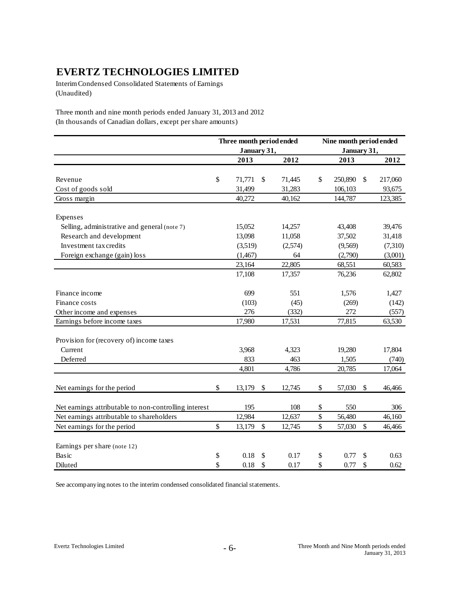Interim Condensed Consolidated Statements of Earnings (Unaudited)

Three month and nine month periods ended January 31, 2013 and 2012 (In thousands of Canadian dollars, except per share amounts)

|                                                       | Three month period ended |              |      | Nine month period ended |               |
|-------------------------------------------------------|--------------------------|--------------|------|-------------------------|---------------|
|                                                       | January 31,              |              |      | January 31,             |               |
|                                                       | 2013                     | 2012         |      | 2013                    | 2012          |
| Revenue                                               | \$<br>71,771             | \$<br>71,445 | \$   | 250,890                 | \$<br>217,060 |
| Cost of goods sold                                    | 31,499                   | 31,283       |      | 106,103                 | 93,675        |
| Gross margin                                          | 40,272                   | 40,162       |      | 144,787                 | 123,385       |
| Expenses                                              |                          |              |      |                         |               |
| Selling, administrative and general (note 7)          | 15,052                   | 14,257       |      | 43,408                  | 39,476        |
| Research and development                              | 13,098                   | 11,058       |      | 37,502                  | 31,418        |
| Investment tax credits                                | (3,519)                  | (2,574)      |      | (9,569)                 | (7,310)       |
| Foreign exchange (gain) loss                          | (1,467)                  | 64           |      | (2,790)                 | (3,001)       |
|                                                       | 23,164                   | 22,805       |      | 68,551                  | 60,583        |
|                                                       | 17,108                   | 17,357       |      | 76,236                  | 62,802        |
| Finance income                                        | 699                      | 551          |      | 1,576                   | 1,427         |
| Finance costs                                         | (103)                    | (45)         |      | (269)                   | (142)         |
| Other income and expenses                             | 276                      | (332)        |      | 272                     | (557)         |
| Earnings before income taxes                          | 17,980                   | 17,531       |      | 77,815                  | 63,530        |
| Provision for (recovery of) income taxes              |                          |              |      |                         |               |
| Current                                               | 3,968                    | 4,323        |      | 19,280                  | 17,804        |
| Deferred                                              | 833                      | 463          |      | 1,505                   | (740)         |
|                                                       | 4,801                    | 4,786        |      | 20,785                  | 17,064        |
| Net earnings for the period                           | \$<br>13,179             | \$<br>12,745 | \$   | 57,030                  | \$<br>46,466  |
| Net earnings attributable to non-controlling interest | 195                      | 108          | \$   | 550                     | 306           |
| Net earnings attributable to shareholders             | 12,984                   | 12,637       | $\$$ | 56,480                  | 46,160        |
| Net earnings for the period                           | \$<br>13,179             | \$<br>12,745 | \$   | 57,030                  | \$<br>46,466  |
| Earnings per share (note 12)                          |                          |              |      |                         |               |
| Basic                                                 | \$<br>0.18               | \$<br>0.17   | \$   | 0.77                    | \$<br>0.63    |
| Diluted                                               | \$<br>0.18               | \$<br>0.17   | \$   | 0.77                    | \$<br>0.62    |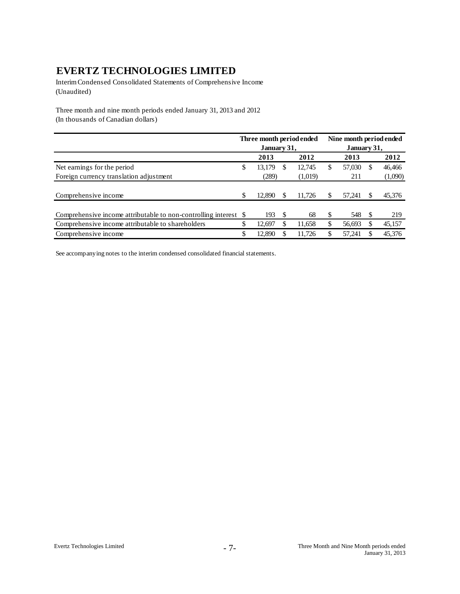Interim Condensed Consolidated Statements of Comprehensive Income (Unaudited)

Three month and nine month periods ended January 31, 2013 and 2012 (In thousands of Canadian dollars)

|                                                                  | Three month period ended |          |         | Nine month period ended |             |    |         |  |  |
|------------------------------------------------------------------|--------------------------|----------|---------|-------------------------|-------------|----|---------|--|--|
|                                                                  | January 31,              |          |         |                         | January 31, |    |         |  |  |
|                                                                  | 2013                     |          | 2012    |                         | 2013        |    | 2012    |  |  |
| Net earnings for the period                                      | \$<br>13,179             | <b>S</b> | 12,745  | \$                      | 57,030      | S  | 46,466  |  |  |
| Foreign currency translation adjustment                          | (289)                    |          | (1,019) |                         | 211         |    | (1,090) |  |  |
| Comprehensive income                                             | \$<br>12.890             |          | 11.726  | \$                      | 57.241      |    | 45,376  |  |  |
| Comprehensive income attributable to non-controlling interest \$ | 193                      | <b>S</b> | 68      | S                       | 548         | -S | 219     |  |  |
| Comprehensive income attributable to shareholders                | \$<br>12.697             |          | 11,658  | \$                      | 56,693      |    | 45,157  |  |  |
| Comprehensive income                                             | \$<br>12,890             |          | 11.726  | S                       | 57.241      |    | 45,376  |  |  |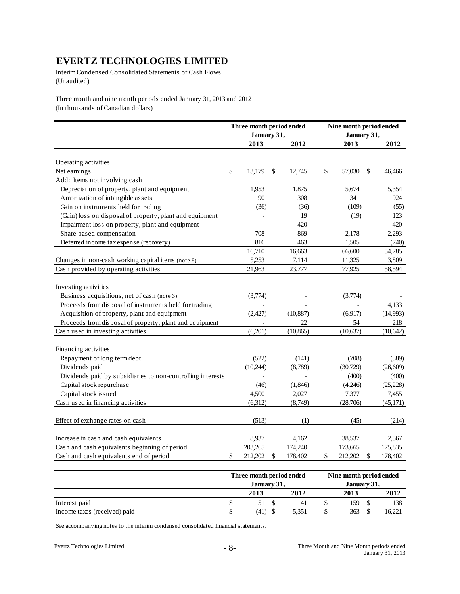Interim Condensed Consolidated Statements of Cash Flows (Unaudited)

Three month and nine month periods ended January 31, 2013 and 2012 (In thousands of Canadian dollars)

|                                                             |                           | Three month period ended |               | Nine month period ended  |             |           |
|-------------------------------------------------------------|---------------------------|--------------------------|---------------|--------------------------|-------------|-----------|
|                                                             |                           | January 31,              |               | January 31,              |             |           |
|                                                             |                           | 2013                     | 2012          | 2013                     |             | 2012      |
| Operating activities                                        |                           |                          |               |                          |             |           |
| Net earnings                                                | $\boldsymbol{\mathsf{S}}$ | 13,179                   | \$<br>12,745  | \$<br>57,030             | \$          | 46,466    |
| Add: Items not involving cash                               |                           |                          |               |                          |             |           |
| Depreciation of property, plant and equipment               |                           | 1,953                    | 1,875         | 5,674                    |             | 5,354     |
| Amortization of intangible assets                           |                           | 90                       | 308           | 341                      |             | 924       |
| Gain on instruments held for trading                        |                           | (36)                     | (36)          | (109)                    |             | (55)      |
| (Gain) loss on disposal of property, plant and equipment    |                           |                          | 19            | (19)                     |             | 123       |
| Impairment loss on property, plant and equipment            |                           |                          | 420           | $\overline{\phantom{a}}$ |             | 420       |
| Share-based compensation                                    |                           | 708                      | 869           | 2,178                    |             | 2,293     |
| Deferred income tax expense (recovery)                      |                           | 816                      | 463           | 1,505                    |             | (740)     |
|                                                             |                           | 16,710                   | 16,663        | 66,600                   |             | 54,785    |
| Changes in non-cash working capital items (note 8)          |                           | 5,253                    | 7,114         | 11,325                   |             | 3,809     |
| Cash provided by operating activities                       |                           | 21,963                   | 23,777        | 77,925                   |             | 58,594    |
| Investing activities                                        |                           |                          |               |                          |             |           |
| Business acquisitions, net of cash (note 3)                 |                           | (3,774)                  |               | (3,774)                  |             |           |
| Proceeds from disposal of instruments held for trading      |                           |                          |               |                          |             | 4,133     |
| Acquisition of property, plant and equipment                |                           | (2, 427)                 | (10, 887)     | (6,917)                  |             | (14,993)  |
| Proceeds from disposal of property, plant and equipment     |                           |                          | 22            | 54                       |             | 218       |
| Cash used in investing activities                           |                           | (6,201)                  | (10, 865)     | (10,637)                 |             | (10, 642) |
| Financing activities                                        |                           |                          |               |                          |             |           |
| Repayment of long term debt                                 |                           | (522)                    | (141)         | (708)                    |             | (389)     |
| Dividends paid                                              |                           | (10,244)                 | (8,789)       | (30, 729)                |             | (26, 609) |
| Dividends paid by subsidiaries to non-controlling interests |                           |                          |               | (400)                    |             | (400)     |
| Capital stock repurchase                                    |                           | (46)                     | (1,846)       | (4,246)                  |             | (25, 228) |
| Capital stock issued                                        |                           | 4,500                    | 2,027         | 7,377                    |             | 7,455     |
| Cash used in financing activities                           |                           | (6,312)                  | (8,749)       | (28,706)                 |             | (45, 171) |
| Effect of exchange rates on cash                            |                           | (513)                    | (1)           | (45)                     |             | (214)     |
| Increase in cash and cash equivalents                       |                           | 8,937                    | 4,162         | 38,537                   |             | 2,567     |
| Cash and cash equivalents beginning of period               |                           | 203,265                  | 174,240       | 173,665                  |             | 175,835   |
| Cash and cash equivalents end of period                     | \$                        | 212,202                  | \$<br>178,402 | \$<br>212,202            | $\mathbf S$ | 178,402   |

|                              | Three month period ended |  | Nine month period ended |  |             |  |                    |  |
|------------------------------|--------------------------|--|-------------------------|--|-------------|--|--------------------|--|
|                              | January 31,              |  |                         |  | January 31, |  |                    |  |
|                              | 2013                     |  | 2012                    |  | 2013        |  | 2012               |  |
| Interest paid                | 51                       |  | 41                      |  | 159         |  | 138                |  |
| Income taxes (received) paid | (41)                     |  | 5.351                   |  | 363         |  | 16.22 <sup>1</sup> |  |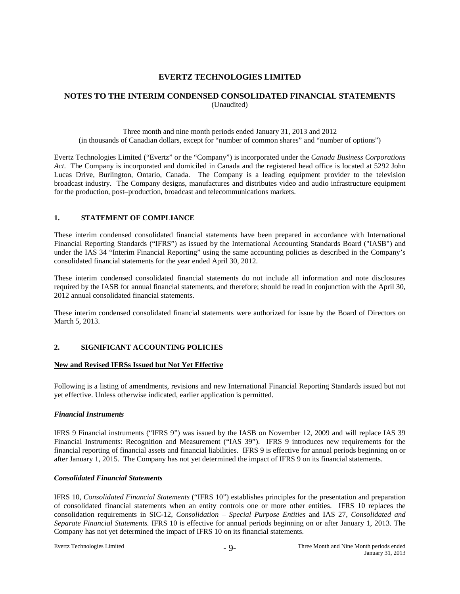# **NOTES TO THE INTERIM CONDENSED CONSOLIDATED FINANCIAL STATEMENTS** (Unaudited)

Three month and nine month periods ended January 31, 2013 and 2012 (in thousands of Canadian dollars, except for "number of common shares" and "number of options")

Evertz Technologies Limited ("Evertz" or the "Company") is incorporated under the *Canada Business Corporations Act*. The Company is incorporated and domiciled in Canada and the registered head office is located at 5292 John Lucas Drive, Burlington, Ontario, Canada. The Company is a leading equipment provider to the television broadcast industry. The Company designs, manufactures and distributes video and audio infrastructure equipment for the production, post–production, broadcast and telecommunications markets.

## **1. STATEMENT OF COMPLIANCE**

These interim condensed consolidated financial statements have been prepared in accordance with International Financial Reporting Standards ("IFRS") as issued by the International Accounting Standards Board ("IASB") and under the IAS 34 "Interim Financial Reporting" using the same accounting policies as described in the Company's consolidated financial statements for the year ended April 30, 2012.

These interim condensed consolidated financial statements do not include all information and note disclosures required by the IASB for annual financial statements, and therefore; should be read in conjunction with the April 30, 2012 annual consolidated financial statements.

These interim condensed consolidated financial statements were authorized for issue by the Board of Directors on March 5, 2013.

### **2. SIGNIFICANT ACCOUNTING POLICIES**

#### **New and Revised IFRSs Issued but Not Yet Effective**

Following is a listing of amendments, revisions and new International Financial Reporting Standards issued but not yet effective. Unless otherwise indicated, earlier application is permitted.

#### *Financial Instruments*

IFRS 9 Financial instruments ("IFRS 9") was issued by the IASB on November 12, 2009 and will replace IAS 39 Financial Instruments: Recognition and Measurement ("IAS 39"). IFRS 9 introduces new requirements for the financial reporting of financial assets and financial liabilities. IFRS 9 is effective for annual periods beginning on or after January 1, 2015. The Company has not yet determined the impact of IFRS 9 on its financial statements.

### *Consolidated Financial Statements*

IFRS 10, *Consolidated Financial Statements* ("IFRS 10") establishes principles for the presentation and preparation of consolidated financial statements when an entity controls one or more other entities. IFRS 10 replaces the consolidation requirements in SIC-12, *Consolidation – Special Purpose Entities* and IAS 27, *Consolidated and Separate Financial Statements.* IFRS 10 is effective for annual periods beginning on or after January 1, 2013. The Company has not yet determined the impact of IFRS 10 on its financial statements.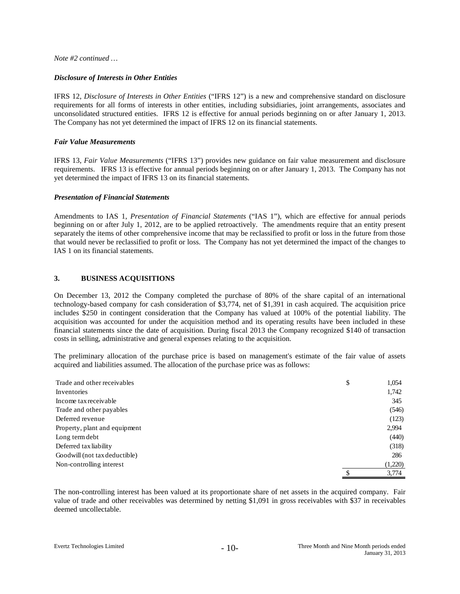*Note #2 continued …*

### *Disclosure of Interests in Other Entities*

IFRS 12, *Disclosure of Interests in Other Entities* ("IFRS 12") is a new and comprehensive standard on disclosure requirements for all forms of interests in other entities, including subsidiaries, joint arrangements, associates and unconsolidated structured entities. IFRS 12 is effective for annual periods beginning on or after January 1, 2013. The Company has not yet determined the impact of IFRS 12 on its financial statements.

### *Fair Value Measurements*

IFRS 13, *Fair Value Measurements* ("IFRS 13") provides new guidance on fair value measurement and disclosure requirements. IFRS 13 is effective for annual periods beginning on or after January 1, 2013. The Company has not yet determined the impact of IFRS 13 on its financial statements.

### *Presentation of Financial Statements*

Amendments to IAS 1, *Presentation of Financial Statements* ("IAS 1"), which are effective for annual periods beginning on or after July 1, 2012, are to be applied retroactively. The amendments require that an entity present separately the items of other comprehensive income that may be reclassified to profit or loss in the future from those that would never be reclassified to profit or loss. The Company has not yet determined the impact of the changes to IAS 1 on its financial statements.

### **3. BUSINESS ACQUISITIONS**

On December 13, 2012 the Company completed the purchase of 80% of the share capital of an international technology-based company for cash consideration of \$3,774, net of \$1,391 in cash acquired. The acquisition price includes \$250 in contingent consideration that the Company has valued at 100% of the potential liability. The acquisition was accounted for under the acquisition method and its operating results have been included in these financial statements since the date of acquisition. During fiscal 2013 the Company recognized \$140 of transaction costs in selling, administrative and general expenses relating to the acquisition.

The preliminary allocation of the purchase price is based on management's estimate of the fair value of assets acquired and liabilities assumed. The allocation of the purchase price was as follows:

| Trade and other receivables   | \$ | 1,054   |
|-------------------------------|----|---------|
| Inventories                   |    | 1,742   |
| Income tax receivable         |    | 345     |
| Trade and other payables      |    | (546)   |
| Deferred revenue              |    | (123)   |
| Property, plant and equipment |    | 2,994   |
| Long term debt                |    | (440)   |
| Deferred tax liability        |    | (318)   |
| Goodwill (not tax deductible) |    | 286     |
| Non-controlling interest      |    | (1,220) |
|                               | S  | 3.774   |

The non-controlling interest has been valued at its proportionate share of net assets in the acquired company. Fair value of trade and other receivables was determined by netting \$1,091 in gross receivables with \$37 in receivables deemed uncollectable.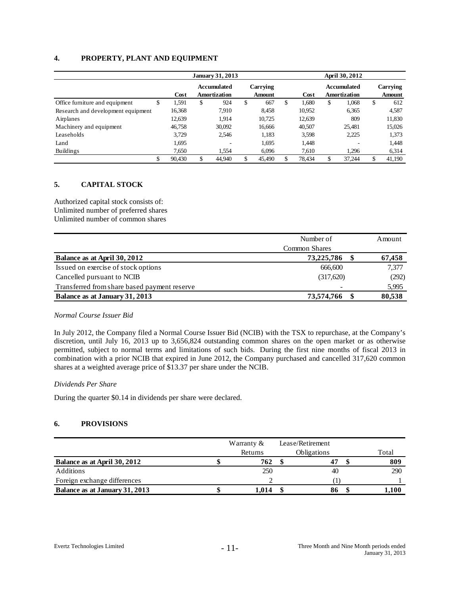# **4. PROPERTY, PLANT AND EQUIPMENT**

|                                    |    |        | <b>January 31, 2013</b>            |                           | April 30, 2012 |    |                                    |    |                    |  |  |
|------------------------------------|----|--------|------------------------------------|---------------------------|----------------|----|------------------------------------|----|--------------------|--|--|
|                                    |    | Cost   | <b>Accumulated</b><br>Amortization | Carrying<br><b>Amount</b> | Cost           |    | Accumulated<br><b>Amortization</b> |    | Carrying<br>Amount |  |  |
| Office furniture and equipment     | Φ  | 1,591  | \$<br>924                          | \$<br>667                 | \$<br>1.680    | \$ | 1,068                              | \$ | 612                |  |  |
| Research and development equipment |    | 16,368 | 7,910                              | 8,458                     | 10,952         |    | 6,365                              |    | 4,587              |  |  |
| Airplanes                          |    | 12,639 | 1.914                              | 10,725                    | 12,639         |    | 809                                |    | 11,830             |  |  |
| Machinery and equipment            |    | 46,758 | 30,092                             | 16,666                    | 40,507         |    | 25,481                             |    | 15,026             |  |  |
| Leaseholds                         |    | 3.729  | 2.546                              | 1,183                     | 3,598          |    | 2,225                              |    | 1,373              |  |  |
| Land                               |    | 1,695  | $\overline{\phantom{a}}$           | 1,695                     | 1,448          |    | $\overline{\phantom{a}}$           |    | 1,448              |  |  |
| <b>Buildings</b>                   |    | 7,650  | 1.554                              | 6.096                     | 7,610          |    | 1.296                              |    | 6,314              |  |  |
|                                    | \$ | 90,430 | \$<br>44.940                       | 45.490                    | 78.434         | \$ | 37.244                             | \$ | 41.190             |  |  |

## **5. CAPITAL STOCK**

Authorized capital stock consists of: Unlimited number of preferred shares Unlimited number of common shares

|                                              | Number of            | Amount |
|----------------------------------------------|----------------------|--------|
|                                              | <b>Common Shares</b> |        |
| Balance as at April 30, 2012                 | 73,225,786           | 67,458 |
| Issued on exercise of stock options          | 666,600              | 7,377  |
| Cancelled pursuant to NCIB                   | (317,620)            | (292)  |
| Transferred from share based payment reserve |                      | 5,995  |
| Balance as at January 31, 2013               | 73,574,766           | 80,538 |

#### *Normal Course Issuer Bid*

In July 2012, the Company filed a Normal Course Issuer Bid (NCIB) with the TSX to repurchase, at the Company's discretion, until July 16, 2013 up to 3,656,824 outstanding common shares on the open market or as otherwise permitted, subject to normal terms and limitations of such bids. During the first nine months of fiscal 2013 in combination with a prior NCIB that expired in June 2012, the Company purchased and cancelled 317,620 common shares at a weighted average price of \$13.37 per share under the NCIB.

### *Dividends Per Share*

During the quarter \$0.14 in dividends per share were declared.

### **6. PROVISIONS**

|                                | Warranty $\&$ |                    | Lease/Retirement |  |       |
|--------------------------------|---------------|--------------------|------------------|--|-------|
|                                | Returns       | <b>Obligations</b> |                  |  | Total |
| Balance as at April 30, 2012   | 762           |                    |                  |  | 809   |
| Additions                      | 250           |                    | 40               |  | 290   |
| Foreign exchange differences   |               |                    |                  |  |       |
| Balance as at January 31, 2013 | 1.014         |                    | 86               |  | 1,100 |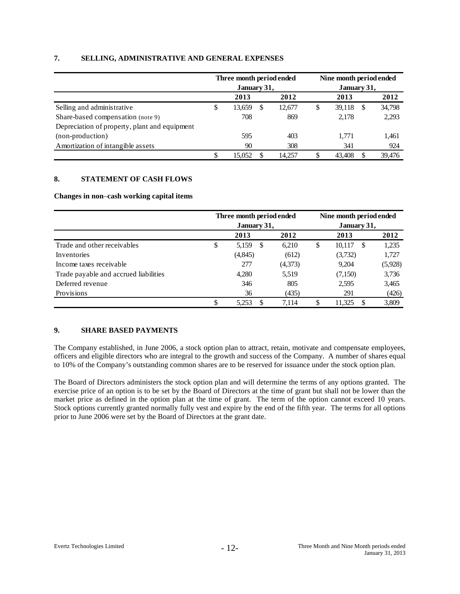# **7. SELLING, ADMINISTRATIVE AND GENERAL EXPENSES**

|                                               | Three month period ended<br>January 31, |    |        | Nine month period ended<br>January 31, |   |        |
|-----------------------------------------------|-----------------------------------------|----|--------|----------------------------------------|---|--------|
|                                               | 2013                                    |    | 2012   | 2013                                   |   | 2012   |
| Selling and administrative                    | \$<br>13,659                            | -S | 12,677 | \$<br>39,118                           | S | 34,798 |
| Share-based compensation (note 9)             | 708                                     |    | 869    | 2.178                                  |   | 2,293  |
| Depreciation of property, plant and equipment |                                         |    |        |                                        |   |        |
| (non-production)                              | 595                                     |    | 403    | 1.771                                  |   | 1,461  |
| Amortization of intangible assets             | 90                                      |    | 308    | 341                                    |   | 924    |
|                                               | 15.052                                  |    | 14.257 | \$<br>43.408                           |   | 39,476 |

# **8. STATEMENT OF CASH FLOWS**

## **Changes in non**–**cash working capital items**

|                                       | Three month period ended<br>January 31, |          |               | Nine month period ended |    |                         |         |
|---------------------------------------|-----------------------------------------|----------|---------------|-------------------------|----|-------------------------|---------|
|                                       |                                         |          |               | January 31,             |    |                         |         |
|                                       |                                         | 2013     |               | 2012                    |    | 2013                    | 2012    |
| Trade and other receivables           | \$                                      | 5,159    | <sup>\$</sup> | 6.210                   | \$ | 10,117<br><sup>\$</sup> | 1,235   |
| Inventories                           |                                         | (4, 845) |               | (612)                   |    | (3,732)                 | 1,727   |
| Income taxes receivable               |                                         | 277      |               | (4,373)                 |    | 9,204                   | (5,928) |
| Trade payable and accrued liabilities |                                         | 4,280    |               | 5,519                   |    | (7,150)                 | 3,736   |
| Deferred revenue                      |                                         | 346      |               | 805                     |    | 2,595                   | 3,465   |
| Provisions                            |                                         | 36       |               | (435)                   |    | 291                     | (426)   |
|                                       | \$                                      | 5.253    | S             | 7.114                   | S  | 11,325<br>S             | 3,809   |

## **9. SHARE BASED PAYMENTS**

The Company established, in June 2006, a stock option plan to attract, retain, motivate and compensate employees, officers and eligible directors who are integral to the growth and success of the Company. A number of shares equal to 10% of the Company's outstanding common shares are to be reserved for issuance under the stock option plan.

The Board of Directors administers the stock option plan and will determine the terms of any options granted. The exercise price of an option is to be set by the Board of Directors at the time of grant but shall not be lower than the market price as defined in the option plan at the time of grant. The term of the option cannot exceed 10 years. Stock options currently granted normally fully vest and expire by the end of the fifth year. The terms for all options prior to June 2006 were set by the Board of Directors at the grant date.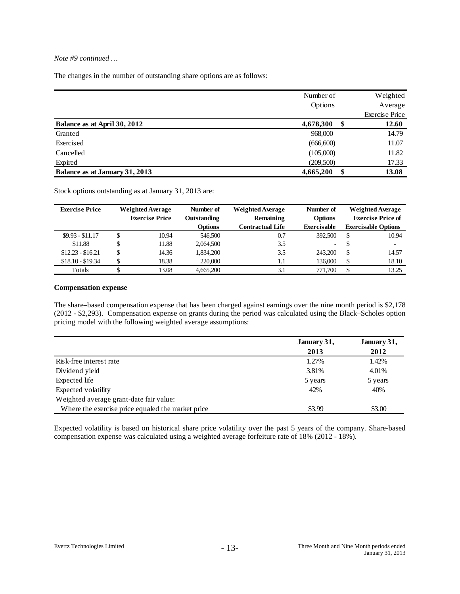# *Note #9 continued …*

The changes in the number of outstanding share options are as follows:

|                                | Number of  | Weighted              |
|--------------------------------|------------|-----------------------|
|                                | Options    | Average               |
|                                |            | <b>Exercise Price</b> |
| Balance as at April 30, 2012   | 4,678,300  | \$<br>12.60           |
| Granted                        | 968,000    | 14.79                 |
| Exercised                      | (666, 600) | 11.07                 |
| Cancelled                      | (105,000)  | 11.82                 |
| Expired                        | (209,500)  | 17.33                 |
| Balance as at January 31, 2013 | 4,665,200  | 13.08                 |

Stock options outstanding as at January 31, 2013 are:

| <b>Exercise Price</b> | <b>Weighted Average</b> |                       |                |                  | Number of                | <b>Weighted Average</b> | Number of                  |  | <b>Weighted Average</b> |
|-----------------------|-------------------------|-----------------------|----------------|------------------|--------------------------|-------------------------|----------------------------|--|-------------------------|
|                       |                         | <b>Exercise Price</b> | Outstanding    | Remaining        | <b>Options</b>           |                         | <b>Exercise Price of</b>   |  |                         |
|                       |                         |                       | <b>Options</b> | Contractual Life | Exercisable              |                         | <b>Exercisable Options</b> |  |                         |
| $$9.93 - $11.17$      | S                       | 10.94                 | 546,500        | 0.7              | 392.500                  | <sup>\$</sup>           | 10.94                      |  |                         |
| \$11.88               |                         | 11.88                 | 2,064,500      | 3.5              | $\overline{\phantom{a}}$ | <sup>\$</sup>           | $\overline{\phantom{0}}$   |  |                         |
| $$12.23 - $16.21$     | S                       | 14.36                 | 1,834,200      | 3.5              | 243,200                  | <sup>\$</sup>           | 14.57                      |  |                         |
| $$18.10 - $19.34$     |                         | 18.38                 | 220,000        | 1.1              | 136,000                  | -S                      | 18.10                      |  |                         |
| Totals                |                         | 13.08                 | 4.665.200      | 3.1              | 771,700                  | \$                      | 13.25                      |  |                         |

#### **Compensation expense**

The share–based compensation expense that has been charged against earnings over the nine month period is \$2,178 (2012 - \$2,293). Compensation expense on grants during the period was calculated using the Black–Scholes option pricing model with the following weighted average assumptions:

|                                                   | January 31, | January 31, |
|---------------------------------------------------|-------------|-------------|
|                                                   | 2013        | 2012        |
| Risk-free interest rate                           | 1.27%       | 1.42%       |
| Dividend yield                                    | 3.81%       | 4.01%       |
| Expected life                                     | 5 years     | 5 years     |
| Expected volatility                               | 42%         | 40%         |
| Weighted average grant-date fair value:           |             |             |
| Where the exercise price equaled the market price | \$3.99      | \$3.00      |

Expected volatility is based on historical share price volatility over the past 5 years of the company. Share-based compensation expense was calculated using a weighted average forfeiture rate of 18% (2012 - 18%).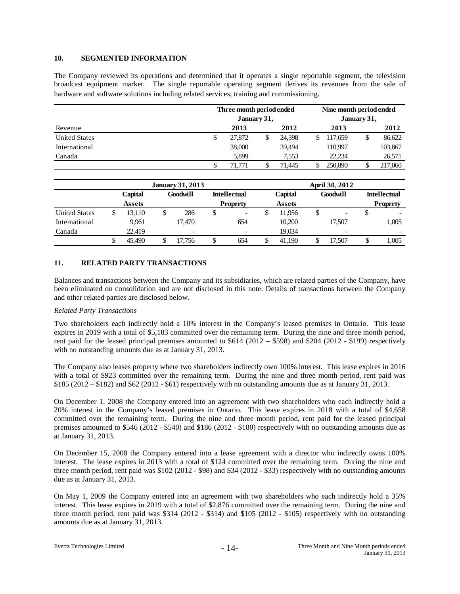# **10. SEGMENTED INFORMATION**

The Company reviewed its operations and determined that it operates a single reportable segment, the television broadcast equipment market. The single reportable operating segment derives its revenues from the sale of hardware and software solutions including related services, training and commissioning.

|                      |    |               | Three month period ended<br>January 31, |                         |      |                     | Nine month period ended<br>January 31, |      |                |      |                     |
|----------------------|----|---------------|-----------------------------------------|-------------------------|------|---------------------|----------------------------------------|------|----------------|------|---------------------|
| Revenue              |    |               |                                         |                         | 2013 | 2012                |                                        | 2013 |                | 2012 |                     |
| <b>United States</b> |    |               |                                         |                         | \$   | 27,872              | \$<br>24,398                           | \$   | 117.659        | \$   | 86,622              |
| International        |    |               |                                         |                         |      | 38,000              | 39,494                                 |      | 110.997        |      | 103,867             |
| Canada               |    |               |                                         |                         |      | 5.899               | 7,553                                  |      | 22.234         |      | 26,571              |
|                      |    |               |                                         |                         | \$   | 71,771              | 71,445                                 | \$   | 250,890        | \$   | 217,060             |
|                      |    |               |                                         | <b>January 31, 2013</b> |      |                     |                                        |      | April 30, 2012 |      |                     |
|                      |    | Capital       |                                         | Goodwill                |      | <b>Intellectual</b> | Capital                                |      | Goodwill       |      | <b>Intellectual</b> |
|                      |    | <b>Assets</b> |                                         |                         |      | <b>Property</b>     | <b>Assets</b>                          |      |                |      | <b>Property</b>     |
| <b>United States</b> | \$ | 13.110        | \$                                      | 286                     | \$   | -                   | \$<br>11.956                           | \$   | ٠              | \$   |                     |

654

### **11. RELATED PARTY TRANSACTIONS**

 9,961 22,419 \$ 45,490

 17,470  $-$  -  $-$ \$ 17,756

Balances and transactions between the Company and its subsidiaries, which are related parties of the Company, have been eliminated on consolidation and are not disclosed in this note. Details of transactions between the Company and other related parties are disclosed below.

\$ 654

#### *Related Party Transactions*

International Canada

Two shareholders each indirectly hold a 10% interest in the Company's leased premises in Ontario. This lease expires in 2019 with a total of \$5,183 committed over the remaining term. During the nine and three month period, rent paid for the leased principal premises amounted to \$614 (2012 – \$598) and \$204 (2012 - \$199) respectively with no outstanding amounts due as at January 31, 2013.

The Company also leases property where two shareholders indirectly own 100% interest. This lease expires in 2016 with a total of \$923 committed over the remaining term. During the nine and three month period, rent paid was \$185 (2012 – \$182) and \$62 (2012 - \$61) respectively with no outstanding amounts due as at January 31, 2013.

On December 1, 2008 the Company entered into an agreement with two shareholders who each indirectly hold a 20% interest in the Company's leased premises in Ontario. This lease expires in 2018 with a total of \$4,658 committed over the remaining term. During the nine and three month period, rent paid for the leased principal premises amounted to \$546 (2012 - \$540) and \$186 (2012 - \$180) respectively with no outstanding amounts due as at January 31, 2013.

On December 15, 2008 the Company entered into a lease agreement with a director who indirectly owns 100% interest. The lease expires in 2013 with a total of \$124 committed over the remaining term. During the nine and three month period, rent paid was \$102 (2012 - \$98) and \$34 (2012 - \$33) respectively with no outstanding amounts due as at January 31, 2013.

On May 1, 2009 the Company entered into an agreement with two shareholders who each indirectly hold a 35% interest. This lease expires in 2019 with a total of \$2,876 committed over the remaining term. During the nine and three month period, rent paid was \$314 (2012 - \$314) and \$105 (2012 - \$105) respectively with no outstanding amounts due as at January 31, 2013.

- 1990 - 1990 - 1990<br>1990 - 1990 - 1990 - 1990 - 1990 - 1990 - 1990 - 1990 - 1990 - 1990 - 1990 - 1990 - 1990 - 1990 - 1990 - 1990 \$ 17,507

17,507

1,005

 $-$  -  $-$ \$ 1,005

 10,200 19,034

\$ 41,190